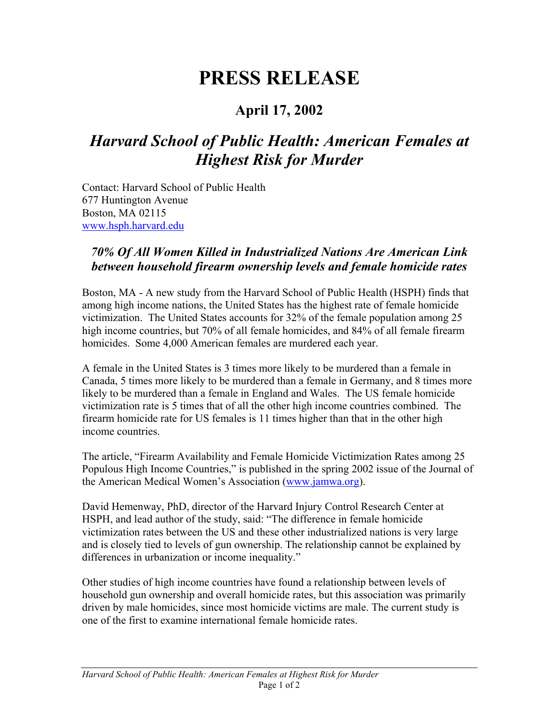## **PRESS RELEASE**

## **April 17, 2002**

## *Harvard School of Public Health: American Females at Highest Risk for Murder*

Contact: Harvard School of Public Health 677 Huntington Avenue Boston, MA 02115 www.hsph.harvard.edu

## *70% Of All Women Killed in Industrialized Nations Are American Link between household firearm ownership levels and female homicide rates*

Boston, MA - A new study from the Harvard School of Public Health (HSPH) finds that among high income nations, the United States has the highest rate of female homicide victimization. The United States accounts for 32% of the female population among 25 high income countries, but 70% of all female homicides, and 84% of all female firearm homicides. Some 4,000 American females are murdered each year.

A female in the United States is 3 times more likely to be murdered than a female in Canada, 5 times more likely to be murdered than a female in Germany, and 8 times more likely to be murdered than a female in England and Wales. The US female homicide victimization rate is 5 times that of all the other high income countries combined. The firearm homicide rate for US females is 11 times higher than that in the other high income countries.

The article, "Firearm Availability and Female Homicide Victimization Rates among 25 Populous High Income Countries," is published in the spring 2002 issue of the Journal of the American Medical Women's Association (www.jamwa.org).

David Hemenway, PhD, director of the Harvard Injury Control Research Center at HSPH, and lead author of the study, said: "The difference in female homicide victimization rates between the US and these other industrialized nations is very large and is closely tied to levels of gun ownership. The relationship cannot be explained by differences in urbanization or income inequality."

Other studies of high income countries have found a relationship between levels of household gun ownership and overall homicide rates, but this association was primarily driven by male homicides, since most homicide victims are male. The current study is one of the first to examine international female homicide rates.